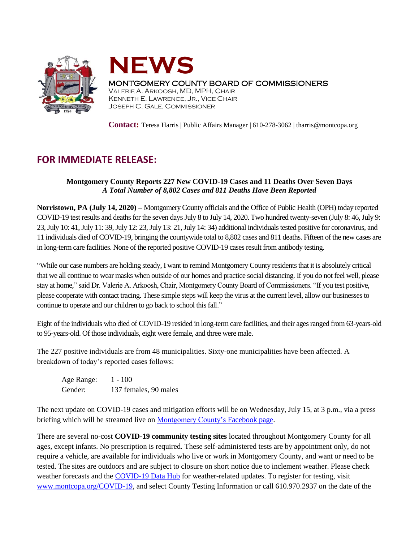



## MONTGOMERY COUNTY BOARD OF COMMISSIONERS

VALERIE A. ARKOOSH, MD, MPH, CHAIR KENNETH E. LAWRENCE, JR., VICE CHAIR JOSEPH C. GALE, COMMISSIONER

**Contact:** Teresa Harris | Public Affairs Manager | 610-278-3062 | tharris@montcopa.org

## **FOR IMMEDIATE RELEASE:**

## **Montgomery County Reports 227 New COVID-19 Cases and 11 Deaths Over Seven Days** *A Total Number of 8,802 Cases and 811 Deaths Have Been Reported*

**Norristown, PA (July 14, 2020) –** Montgomery County officials and the Office of Public Health (OPH) today reported COVID-19 test results and deaths for the seven daysJuly 8 to July 14, 2020. Two hundred twenty-seven (July 8: 46, July 9: 23, July 10: 41, July 11: 39, July 12: 23, July 13: 21, July 14: 34) additional individuals tested positive for coronavirus, and 11 individuals died of COVID-19, bringing the countywide total to 8,802 cases and 811 deaths. Fifteen of the new cases are in long-term care facilities. None of the reported positive COVID-19 cases result from antibody testing.

"While our case numbers are holding steady, I want to remind Montgomery County residents that it is absolutely critical that we all continue to wear masks when outside of our homes and practice social distancing. If you do not feel well, please stay at home," said Dr. Valerie A. Arkoosh, Chair, Montgomery County Board of Commissioners. "If you test positive, please cooperate with contact tracing. These simple steps will keep the virus at the current level, allow our businesses to continue to operate and our children to go back to school this fall."

Eight of the individuals who died of COVID-19 resided in long-term care facilities, and their ages ranged from 63-years-old to 95-years-old. Of those individuals, eight were female, and three were male.

The 227 positive individuals are from 48 municipalities. Sixty-one municipalities have been affected. A breakdown of today's reported cases follows:

Age Range: 1 - 100 Gender: 137 females, 90 males

The next update on COVID-19 cases and mitigation efforts will be on Wednesday, July 15, at 3 p.m., via a press briefing which will be streamed live on [Montgomery County's Facebook page.](https://www.facebook.com/montgomery.county.pa/)

There are several no-cost **COVID-19 community testing sites** located throughout Montgomery County for all ages, except infants. No prescription is required. These self-administered tests are by appointment only, do not require a vehicle, are available for individuals who live or work in Montgomery County, and want or need to be tested. The sites are outdoors and are subject to closure on short notice due to inclement weather. Please check weather forecasts and the [COVID-19 Data Hub](https://data-montcopa.opendata.arcgis.com/pages/covid-19) for weather-related updates. To register for testing, visit [www.montcopa.org/COVID-19,](http://www.montcopa.org/COVID-19) and select County Testing Information or call 610.970.2937 on the date of the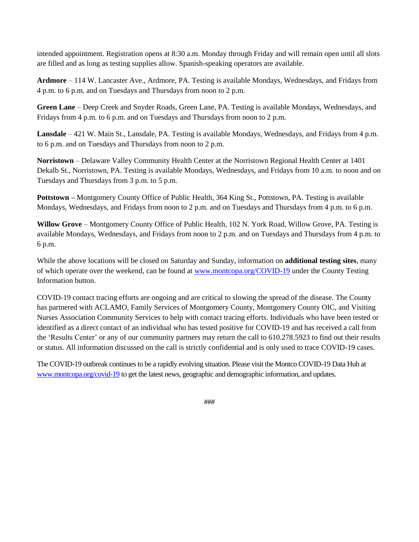intended appointment. Registration opens at 8:30 a.m. Monday through Friday and will remain open until all slots are filled and as long as testing supplies allow. Spanish-speaking operators are available.

**Ardmore** – 114 W. Lancaster Ave., Ardmore, PA. Testing is available Mondays, Wednesdays, and Fridays from 4 p.m. to 6 p.m. and on Tuesdays and Thursdays from noon to 2 p.m.

**Green Lane** – Deep Creek and Snyder Roads, Green Lane, PA. Testing is available Mondays, Wednesdays, and Fridays from 4 p.m. to 6 p.m. and on Tuesdays and Thursdays from noon to 2 p.m.

**Lansdale** – 421 W. Main St., Lansdale, PA. Testing is available Mondays, Wednesdays, and Fridays from 4 p.m. to 6 p.m. and on Tuesdays and Thursdays from noon to 2 p.m.

**Norristown** – Delaware Valley Community Health Center at the Norristown Regional Health Center at 1401 Dekalb St., Norristown, PA. Testing is available Mondays, Wednesdays, and Fridays from 10 a.m. to noon and on Tuesdays and Thursdays from 3 p.m. to 5 p.m.

**Pottstown –** Montgomery County Office of Public Health, 364 King St., Pottstown, PA. Testing is available Mondays, Wednesdays, and Fridays from noon to 2 p.m. and on Tuesdays and Thursdays from 4 p.m. to 6 p.m.

**Willow Grove** – Montgomery County Office of Public Health, 102 N. York Road, Willow Grove, PA. Testing is available Mondays, Wednesdays, and Fridays from noon to 2 p.m. and on Tuesdays and Thursdays from 4 p.m. to 6 p.m.

While the above locations will be closed on Saturday and Sunday, information on **additional testing sites**, many of which operate over the weekend, can be found at [www.montcopa.org/COVID-19](http://www.montcopa.org/COVID-19) under the County Testing Information button.

COVID-19 contact tracing efforts are ongoing and are critical to slowing the spread of the disease. The County has partnered with ACLAMO, Family Services of Montgomery County, Montgomery County OIC, and Visiting Nurses Association Community Services to help with contact tracing efforts. Individuals who have been tested or identified as a direct contact of an individual who has tested positive for COVID-19 and has received a call from the 'Results Center' or any of our community partners may return the call to 610.278.5923 to find out their results or status. All information discussed on the call is strictly confidential and is only used to trace COVID-19 cases.

The COVID-19 outbreak continues to be a rapidly evolving situation. Please visit the Montco COVID-19 Data Hub at [www.montcopa.org/covid-19](http://www.montcopa.org/covid-19) to get the latest news, geographic and demographic information, and updates.

###